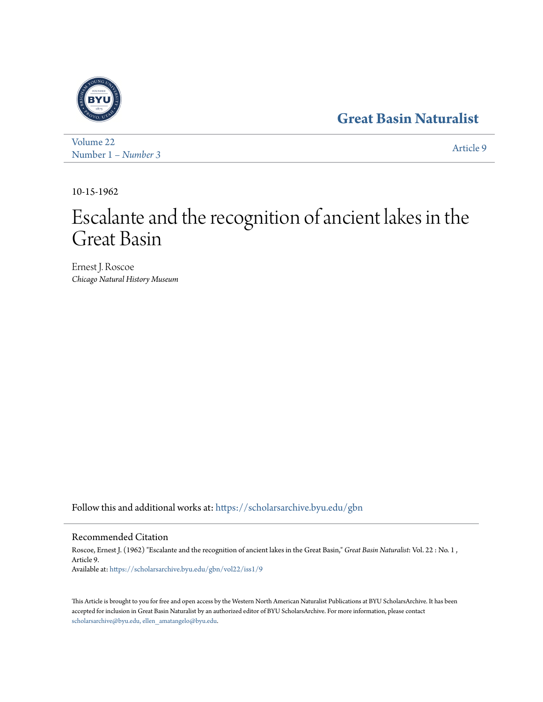# **[Great Basin Naturalist](https://scholarsarchive.byu.edu/gbn?utm_source=scholarsarchive.byu.edu%2Fgbn%2Fvol22%2Fiss1%2F9&utm_medium=PDF&utm_campaign=PDFCoverPages)**



[Volume 22](https://scholarsarchive.byu.edu/gbn/vol22?utm_source=scholarsarchive.byu.edu%2Fgbn%2Fvol22%2Fiss1%2F9&utm_medium=PDF&utm_campaign=PDFCoverPages) Number 1 *[– Number 3](https://scholarsarchive.byu.edu/gbn/vol22/iss1?utm_source=scholarsarchive.byu.edu%2Fgbn%2Fvol22%2Fiss1%2F9&utm_medium=PDF&utm_campaign=PDFCoverPages)* [Article 9](https://scholarsarchive.byu.edu/gbn/vol22/iss1/9?utm_source=scholarsarchive.byu.edu%2Fgbn%2Fvol22%2Fiss1%2F9&utm_medium=PDF&utm_campaign=PDFCoverPages)

10-15-1962

# Escalante and the recognition of ancient lakes in the Great Basin

Ernest J. Roscoe *Chicago Natural History Museum*

Follow this and additional works at: [https://scholarsarchive.byu.edu/gbn](https://scholarsarchive.byu.edu/gbn?utm_source=scholarsarchive.byu.edu%2Fgbn%2Fvol22%2Fiss1%2F9&utm_medium=PDF&utm_campaign=PDFCoverPages)

## Recommended Citation

Roscoe, Ernest J. (1962) "Escalante and the recognition of ancient lakes in the Great Basin," *Great Basin Naturalist*: Vol. 22 : No. 1 , Article 9. Available at: [https://scholarsarchive.byu.edu/gbn/vol22/iss1/9](https://scholarsarchive.byu.edu/gbn/vol22/iss1/9?utm_source=scholarsarchive.byu.edu%2Fgbn%2Fvol22%2Fiss1%2F9&utm_medium=PDF&utm_campaign=PDFCoverPages)

This Article is brought to you for free and open access by the Western North American Naturalist Publications at BYU ScholarsArchive. It has been accepted for inclusion in Great Basin Naturalist by an authorized editor of BYU ScholarsArchive. For more information, please contact [scholarsarchive@byu.edu, ellen\\_amatangelo@byu.edu.](mailto:scholarsarchive@byu.edu,%20ellen_amatangelo@byu.edu)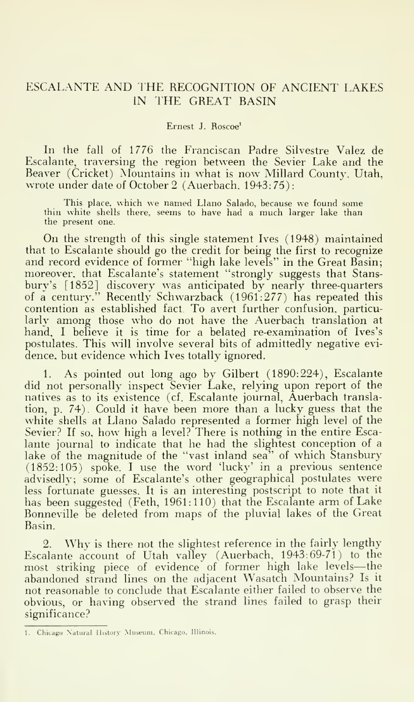### ESCALANTE AND THE RECOGNITION OF ANCIENT LAKES IN IHE GREAT BASIN

Ernest J. Roscoe'

In the fall of 1776 the Franciscan Padre Silvestre Valez de Escalante, traversing the region between the Sevier Lake and the Beaver (Cricket) Mountains in what is now Millard County, Utah, wrote under date of October 2 (Auerbach. 1943: 75)

This place, which we named Llano Salado, because we found some thin white shells there, seems to have had <sup>a</sup> much larger lake than the present one.

On the strength of this single statement Ives (1948) maintained that to Escalante should go the credit for being the first to recognize and record evidence of former "high lake levels" in the Great Basin; moreover, that Escalante's statement "strongly suggests that Stans bury's [1852] discovery was anticipated by nearly three-quarters of a century." Recently Schwarzback (1961:277) has repeated this contention as established fact. To avert further confusion, particularly among those who do not have the Auerbach translation at hand, <sup>I</sup> believe it is time for a belated re-examination of Ives's postulates. This will involve several bits of admittedly negative evi dence, but evidence which Ives totally ignored.

1. As pointed out long ago by Gilbert (1890:224), Escalante did not personally inspect Sevier Lake, relying upon report of the natives as to its existence (cf. Escalante journal, Auerbach translation, p. 74). Could it have been more than a lucky guess that the white shells at Llano Salado represented a former high level of the Sevier? If so, how high a level? There is nothing in the entire Escalante journal to indicate that he had the slightest conception of a lake of the magnitude of the "vast inland sea" of which Stansbury (1852:105) spoke. <sup>I</sup> use the word 'lucky' in a previous sentence advisedly; some of Escalante's other geographical postulates were less fortunate guesses. It is an interesting postscript to note that it has been suggested (Feth, 1961:110) that the Escalante arm of Lake Bonneville be deleted from maps of the pluvial lakes of the Great Basin.

2. Why is there not the slightest reference in the fairly lengthy Escalante account of Utah valley (Auerbach, 1943:69-71) to the most striking piece of evidence of former high lake levels—the abandoned strand lines on the adjacent Wasatch Mountains? Is it not reasonable to conclude that Escalante either failed to observe the obvious, or having observed the strand lines failed to grasp their significance?

<sup>1.</sup> Chicago Natural History Museum. Chicago. Illinois.